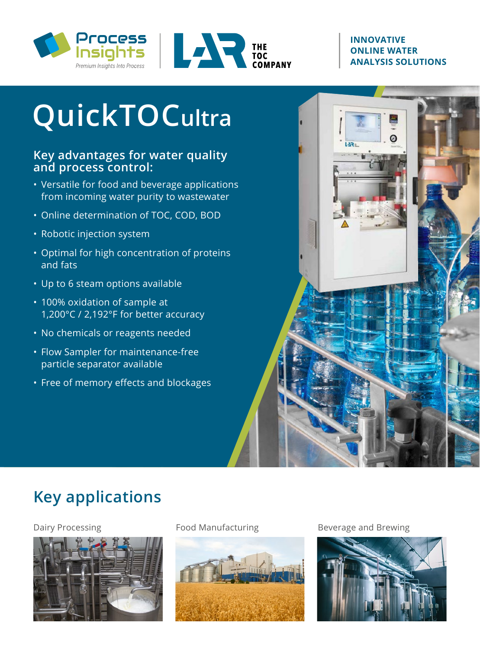



#### **INNOVATIVE ONLINE WATER ANALYSIS SOLUTIONS**

**LAR** 

# **QuickTOCultra**

#### **Key advantages for water quality and process control:**

- Versatile for food and beverage applications from incoming water purity to wastewater
- Online determination of TOC, COD, BOD
- Robotic injection system
- Optimal for high concentration of proteins and fats
- Up to 6 steam options available
- 100% oxidation of sample at 1,200°C / 2,192°F for better accuracy
- No chemicals or reagents needed
- Flow Sampler for maintenance-free particle separator available
- Free of memory effects and blockages

# **Key applications**





Dairy Processing The Rood Manufacturing Theorem Beverage and Brewing